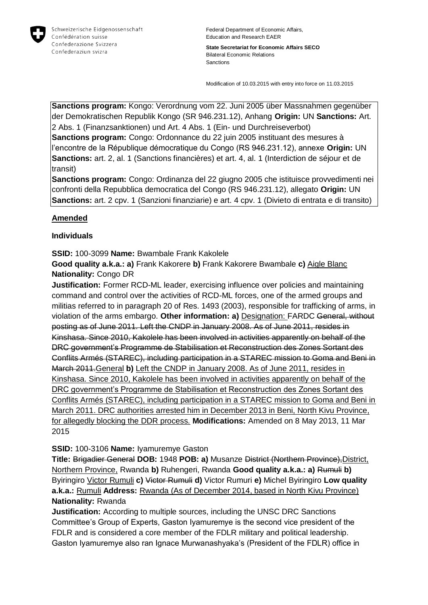

**State Secretariat for Economic Affairs SECO** Bilateral Economic Relations Sanctions

Modification of 10.03.2015 with entry into force on 11.03.2015

**Sanctions program:** Kongo: Verordnung vom 22. Juni 2005 über Massnahmen gegenüber der Demokratischen Republik Kongo (SR 946.231.12), Anhang **Origin:** UN **Sanctions:** Art. 2 Abs. 1 (Finanzsanktionen) und Art. 4 Abs. 1 (Ein- und Durchreiseverbot)

**Sanctions program:** Congo: Ordonnance du 22 juin 2005 instituant des mesures à l'encontre de la République démocratique du Congo (RS 946.231.12), annexe **Origin:** UN **Sanctions:** art. 2, al. 1 (Sanctions financières) et art. 4, al. 1 (Interdiction de séjour et de transit)

**Sanctions program:** Congo: Ordinanza del 22 giugno 2005 che istituisce provvedimenti nei confronti della Repubblica democratica del Congo (RS 946.231.12), allegato **Origin:** UN **Sanctions:** art. 2 cpv. 1 (Sanzioni finanziarie) e art. 4 cpv. 1 (Divieto di entrata e di transito)

# **Amended**

# **Individuals**

**SSID:** 100-3099 **Name:** Bwambale Frank Kakolele

**Good quality a.k.a.: a)** Frank Kakorere **b)** Frank Kakorere Bwambale **c)** Aigle Blanc **Nationality:** Congo DR

**Justification:** Former RCD-ML leader, exercising influence over policies and maintaining command and control over the activities of RCD-ML forces, one of the armed groups and militias referred to in paragraph 20 of Res. 1493 (2003), responsible for trafficking of arms, in violation of the arms embargo. **Other information: a)** Designation: FARDC General, without posting as of June 2011. Left the CNDP in January 2008. As of June 2011, resides in Kinshasa. Since 2010, Kakolele has been involved in activities apparently on behalf of the DRC government's Programme de Stabilisation et Reconstruction des Zones Sortant des Conflits Armés (STAREC), including participation in a STAREC mission to Goma and Beni in March 2011.General **b)** Left the CNDP in January 2008. As of June 2011, resides in Kinshasa. Since 2010, Kakolele has been involved in activities apparently on behalf of the DRC government's Programme de Stabilisation et Reconstruction des Zones Sortant des Conflits Armés (STAREC), including participation in a STAREC mission to Goma and Beni in March 2011. DRC authorities arrested him in December 2013 in Beni, North Kivu Province, for allegedly blocking the DDR process. **Modifications:** Amended on 8 May 2013, 11 Mar 2015

### **SSID:** 100-3106 **Name:** Iyamuremye Gaston

**Title:** Brigadier General **DOB:** 1948 **POB: a)** Musanze District (Northern Province),District, Northern Province, Rwanda **b)** Ruhengeri, Rwanda **Good quality a.k.a.: a)** Rumuli **b)**  Byiringiro Victor Rumuli **c)** Victor Rumuli **d)** Victor Rumuri **e)** Michel Byiringiro **Low quality a.k.a.:** Rumuli **Address:** Rwanda (As of December 2014, based in North Kivu Province) **Nationality:** Rwanda

**Justification:** According to multiple sources, including the UNSC DRC Sanctions Committee's Group of Experts, Gaston Iyamuremye is the second vice president of the FDLR and is considered a core member of the FDLR military and political leadership. Gaston Iyamuremye also ran Ignace Murwanashyaka's (President of the FDLR) office in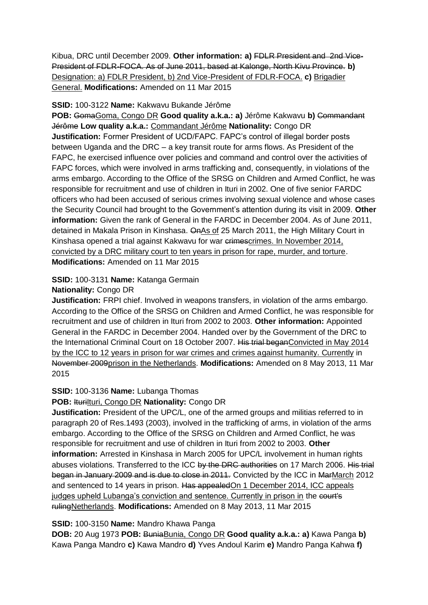Kibua, DRC until December 2009. **Other information: a)** FDLR President and 2nd Vice-President of FDLR-FOCA. As of June 2011, based at Kalonge, North Kivu Province. **b)**  Designation: a) FDLR President, b) 2nd Vice-President of FDLR-FOCA. **c)** Brigadier General. **Modifications:** Amended on 11 Mar 2015

# **SSID:** 100-3122 **Name:** Kakwavu Bukande Jérôme

**POB:** GomaGoma, Congo DR **Good quality a.k.a.: a)** Jérôme Kakwavu **b)** Commandant Jérôme **Low quality a.k.a.:** Commandant Jérôme **Nationality:** Congo DR **Justification:** Former President of UCD/FAPC. FAPC's control of illegal border posts between Uganda and the DRC – a key transit route for arms flows. As President of the FAPC, he exercised influence over policies and command and control over the activities of FAPC forces, which were involved in arms trafficking and, consequently, in violations of the arms embargo. According to the Office of the SRSG on Children and Armed Conflict, he was responsible for recruitment and use of children in Ituri in 2002. One of five senior FARDC officers who had been accused of serious crimes involving sexual violence and whose cases the Security Council had brought to the Government's attention during its visit in 2009. **Other information:** Given the rank of General in the FARDC in December 2004. As of June 2011, detained in Makala Prison in Kinshasa. OnAs of 25 March 2011, the High Military Court in Kinshasa opened a trial against Kakwavu for war crimescrimes. In November 2014, convicted by a DRC military court to ten years in prison for rape, murder, and torture. **Modifications:** Amended on 11 Mar 2015

# **SSID:** 100-3131 **Name:** Katanga Germain

# **Nationality:** Congo DR

**Justification:** FRPI chief. Involved in weapons transfers, in violation of the arms embargo. According to the Office of the SRSG on Children and Armed Conflict, he was responsible for recruitment and use of children in Ituri from 2002 to 2003. **Other information:** Appointed General in the FARDC in December 2004. Handed over by the Government of the DRC to the International Criminal Court on 18 October 2007. His trial beganConvicted in May 2014 by the ICC to 12 years in prison for war crimes and crimes against humanity. Currently in November 2009prison in the Netherlands. **Modifications:** Amended on 8 May 2013, 11 Mar 2015

# **SSID:** 100-3136 **Name:** Lubanga Thomas

### **POB: IturiIturi, Congo DR Nationality: Congo DR**

**Justification:** President of the UPC/L, one of the armed groups and militias referred to in paragraph 20 of Res.1493 (2003), involved in the trafficking of arms, in violation of the arms embargo. According to the Office of the SRSG on Children and Armed Conflict, he was responsible for recruitment and use of children in Ituri from 2002 to 2003. **Other information:** Arrested in Kinshasa in March 2005 for UPC/L involvement in human rights abuses violations. Transferred to the ICC by the DRC authorities on 17 March 2006. His trial began in January 2009 and is due to close in 2011. Convicted by the ICC in MarMarch 2012 and sentenced to 14 years in prison. Has appealedOn 1 December 2014, ICC appeals judges upheld Lubanga's conviction and sentence. Currently in prison in the court's rulingNetherlands. **Modifications:** Amended on 8 May 2013, 11 Mar 2015

### **SSID:** 100-3150 **Name:** Mandro Khawa Panga

**DOB:** 20 Aug 1973 **POB:** BuniaBunia, Congo DR **Good quality a.k.a.: a)** Kawa Panga **b)**  Kawa Panga Mandro **c)** Kawa Mandro **d)** Yves Andoul Karim **e)** Mandro Panga Kahwa **f)**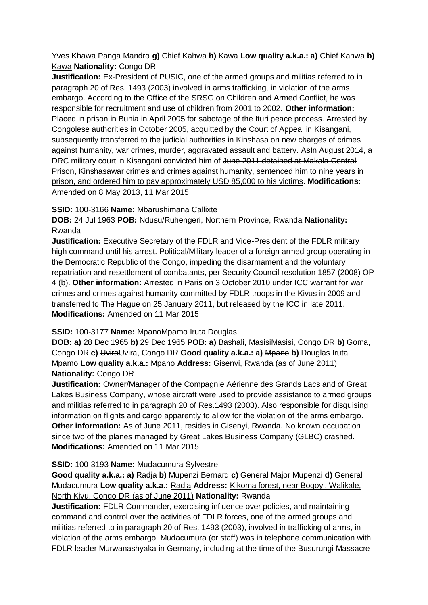Yves Khawa Panga Mandro **g)** Chief Kahwa **h)** Kawa **Low quality a.k.a.: a)** Chief Kahwa **b)**  Kawa **Nationality:** Congo DR

**Justification:** Ex-President of PUSIC, one of the armed groups and militias referred to in paragraph 20 of Res. 1493 (2003) involved in arms trafficking, in violation of the arms embargo. According to the Office of the SRSG on Children and Armed Conflict, he was responsible for recruitment and use of children from 2001 to 2002. **Other information:** Placed in prison in Bunia in April 2005 for sabotage of the Ituri peace process. Arrested by Congolese authorities in October 2005, acquitted by the Court of Appeal in Kisangani, subsequently transferred to the judicial authorities in Kinshasa on new charges of crimes against humanity, war crimes, murder, aggravated assault and battery. As In August 2014, a DRC military court in Kisangani convicted him of June 2011 detained at Makala Central Prison, Kinshasawar crimes and crimes against humanity, sentenced him to nine years in prison, and ordered him to pay approximately USD 85,000 to his victims. **Modifications:**  Amended on 8 May 2013, 11 Mar 2015

# **SSID:** 100-3166 **Name:** Mbarushimana Callixte

**DOB:** 24 Jul 1963 **POB:** Ndusu/Ruhengeri, Northern Province, Rwanda **Nationality:** Rwanda

**Justification:** Executive Secretary of the FDLR and Vice-President of the FDLR military high command until his arrest. Political/Military leader of a foreign armed group operating in the Democratic Republic of the Congo, impeding the disarmament and the voluntary repatriation and resettlement of combatants, per Security Council resolution 1857 (2008) OP 4 (b). **Other information:** Arrested in Paris on 3 October 2010 under ICC warrant for war crimes and crimes against humanity committed by FDLR troops in the Kivus in 2009 and transferred to The Hague on 25 January 2011, but released by the ICC in late 2011. **Modifications:** Amended on 11 Mar 2015

### **SSID:** 100-3177 **Name:** MpanoMpamo Iruta Douglas

**DOB: a)** 28 Dec 1965 **b)** 29 Dec 1965 **POB: a)** Bashali, MasisiMasisi, Congo DR **b)** Goma, Congo DR **c)** UviraUvira, Congo DR **Good quality a.k.a.: a)** Mpano **b)** Douglas Iruta Mpamo **Low quality a.k.a.:** Mpano **Address:** Gisenyi, Rwanda (as of June 2011) **Nationality:** Congo DR

**Justification:** Owner/Manager of the Compagnie Aérienne des Grands Lacs and of Great Lakes Business Company, whose aircraft were used to provide assistance to armed groups and militias referred to in paragraph 20 of Res.1493 (2003). Also responsible for disguising information on flights and cargo apparently to allow for the violation of the arms embargo. **Other information: As of June 2011, resides in Gisenyi, Rwanda. No known occupation** since two of the planes managed by Great Lakes Business Company (GLBC) crashed. **Modifications:** Amended on 11 Mar 2015

### **SSID:** 100-3193 **Name:** Mudacumura Sylvestre

**Good quality a.k.a.: a)** Radja **b)** Mupenzi Bernard **c)** General Major Mupenzi **d)** General Mudacumura **Low quality a.k.a.:** Radja **Address:** Kikoma forest, near Bogoyi, Walikale, North Kivu, Congo DR (as of June 2011) **Nationality:** Rwanda

**Justification:** FDLR Commander, exercising influence over policies, and maintaining command and control over the activities of FDLR forces, one of the armed groups and militias referred to in paragraph 20 of Res. 1493 (2003), involved in trafficking of arms, in violation of the arms embargo. Mudacumura (or staff) was in telephone communication with FDLR leader Murwanashyaka in Germany, including at the time of the Busurungi Massacre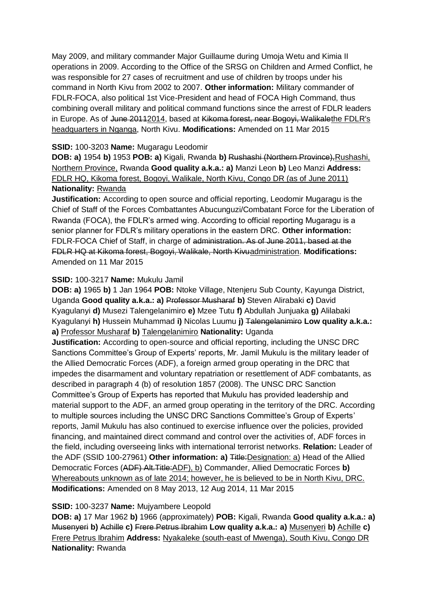May 2009, and military commander Major Guillaume during Umoja Wetu and Kimia II operations in 2009. According to the Office of the SRSG on Children and Armed Conflict, he was responsible for 27 cases of recruitment and use of children by troops under his command in North Kivu from 2002 to 2007. **Other information:** Military commander of FDLR-FOCA, also political 1st Vice-President and head of FOCA High Command, thus combining overall military and political command functions since the arrest of FDLR leaders in Europe. As of June 20112014, based at Kikoma forest, near Bogoyi, Walikalethe FDLR's headquarters in Nganga, North Kivu. **Modifications:** Amended on 11 Mar 2015

# **SSID:** 100-3203 **Name:** Mugaragu Leodomir

**DOB: a)** 1954 **b)** 1953 **POB: a)** Kigali, Rwanda **b)** Rushashi (Northern Province),Rushashi, Northern Province, Rwanda **Good quality a.k.a.: a)** Manzi Leon **b)** Leo Manzi **Address:** FDLR HQ, Kikoma forest, Bogoyi, Walikale, North Kivu, Congo DR (as of June 2011) **Nationality:** Rwanda

**Justification:** According to open source and official reporting, Leodomir Mugaragu is the Chief of Staff of the Forces Combattantes Abucunguzi/Combatant Force for the Liberation of Rwanda (FOCA), the FDLR's armed wing. According to official reporting Mugaragu is a senior planner for FDLR's military operations in the eastern DRC. **Other information:** FDLR-FOCA Chief of Staff, in charge of administration. As of June 2011, based at the FDLR HQ at Kikoma forest, Bogoyi, Walikale, North Kivuadministration. **Modifications:**  Amended on 11 Mar 2015

# **SSID:** 100-3217 **Name:** Mukulu Jamil

**DOB: a)** 1965 **b)** 1 Jan 1964 **POB:** Ntoke Village, Ntenjeru Sub County, Kayunga District, Uganda **Good quality a.k.a.: a)** Professor Musharaf **b)** Steven Alirabaki **c)** David Kyagulanyi **d)** Musezi Talengelanimiro **e)** Mzee Tutu **f)** Abdullah Junjuaka **g)** Alilabaki Kyagulanyi **h)** Hussein Muhammad **i)** Nicolas Luumu **j)** Talengelanimiro **Low quality a.k.a.: a)** Professor Musharaf **b)** Talengelanimiro **Nationality:** Uganda

**Justification:** According to open-source and official reporting, including the UNSC DRC Sanctions Committee's Group of Experts' reports, Mr. Jamil Mukulu is the military leader of the Allied Democratic Forces (ADF), a foreign armed group operating in the DRC that impedes the disarmament and voluntary repatriation or resettlement of ADF combatants, as described in paragraph 4 (b) of resolution 1857 (2008). The UNSC DRC Sanction Committee's Group of Experts has reported that Mukulu has provided leadership and material support to the ADF, an armed group operating in the territory of the DRC. According to multiple sources including the UNSC DRC Sanctions Committee's Group of Experts' reports, Jamil Mukulu has also continued to exercise influence over the policies, provided financing, and maintained direct command and control over the activities of, ADF forces in the field, including overseeing links with international terrorist networks. **Relation:** Leader of the ADF (SSID 100-27961) **Other information: a)** Title:Designation: a) Head of the Allied Democratic Forces (ADF) Alt.Title:ADF), b) Commander, Allied Democratic Forces **b)**  Whereabouts unknown as of late 2014; however, he is believed to be in North Kivu, DRC. **Modifications:** Amended on 8 May 2013, 12 Aug 2014, 11 Mar 2015

### **SSID:** 100-3237 **Name:** Mujyambere Leopold

**DOB: a)** 17 Mar 1962 **b)** 1966 (approximately) **POB:** Kigali, Rwanda **Good quality a.k.a.: a)**  Musenyeri **b)** Achille **c)** Frere Petrus Ibrahim **Low quality a.k.a.: a)** Musenyeri **b)** Achille **c)**  Frere Petrus Ibrahim **Address:** Nyakaleke (south-east of Mwenga), South Kivu, Congo DR **Nationality:** Rwanda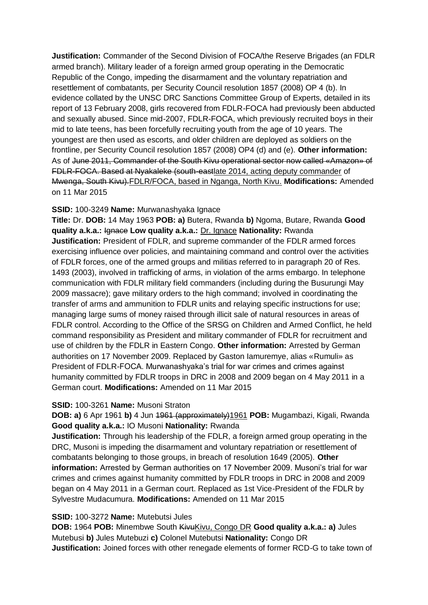**Justification:** Commander of the Second Division of FOCA/the Reserve Brigades (an FDLR armed branch). Military leader of a foreign armed group operating in the Democratic Republic of the Congo, impeding the disarmament and the voluntary repatriation and resettlement of combatants, per Security Council resolution 1857 (2008) OP 4 (b). In evidence collated by the UNSC DRC Sanctions Committee Group of Experts, detailed in its report of 13 February 2008, girls recovered from FDLR-FOCA had previously been abducted and sexually abused. Since mid-2007, FDLR-FOCA, which previously recruited boys in their mid to late teens, has been forcefully recruiting youth from the age of 10 years. The youngest are then used as escorts, and older children are deployed as soldiers on the frontline, per Security Council resolution 1857 (2008) OP4 (d) and (e). **Other information:** As of June 2011, Commander of the South Kivu operational sector now called «Amazon» of FDLR-FOCA. Based at Nyakaleke (south-eastlate 2014, acting deputy commander of Mwenga, South Kivu).FDLR/FOCA, based in Nganga, North Kivu. **Modifications:** Amended on 11 Mar 2015

### **SSID:** 100-3249 **Name:** Murwanashyaka Ignace

**Title:** Dr. **DOB:** 14 May 1963 **POB: a)** Butera, Rwanda **b)** Ngoma, Butare, Rwanda **Good quality a.k.a.:** Ignace **Low quality a.k.a.:** Dr. Ignace **Nationality:** Rwanda **Justification:** President of FDLR, and supreme commander of the FDLR armed forces exercising influence over policies, and maintaining command and control over the activities of FDLR forces, one of the armed groups and militias referred to in paragraph 20 of Res. 1493 (2003), involved in trafficking of arms, in violation of the arms embargo. In telephone communication with FDLR military field commanders (including during the Busurungi May 2009 massacre); gave military orders to the high command; involved in coordinating the transfer of arms and ammunition to FDLR units and relaying specific instructions for use; managing large sums of money raised through illicit sale of natural resources in areas of FDLR control. According to the Office of the SRSG on Children and Armed Conflict, he held command responsibility as President and military commander of FDLR for recruitment and use of children by the FDLR in Eastern Congo. **Other information:** Arrested by German authorities on 17 November 2009. Replaced by Gaston Iamuremye, alias «Rumuli» as President of FDLR-FOCA. Murwanashyaka's trial for war crimes and crimes against humanity committed by FDLR troops in DRC in 2008 and 2009 began on 4 May 2011 in a German court. **Modifications:** Amended on 11 Mar 2015

#### **SSID:** 100-3261 **Name:** Musoni Straton

**DOB: a)** 6 Apr 1961 **b)** 4 Jun 1961 (approximately)1961 **POB:** Mugambazi, Kigali, Rwanda **Good quality a.k.a.:** IO Musoni **Nationality:** Rwanda

**Justification:** Through his leadership of the FDLR, a foreign armed group operating in the DRC, Musoni is impeding the disarmament and voluntary repatriation or resettlement of combatants belonging to those groups, in breach of resolution 1649 (2005). **Other information:** Arrested by German authorities on 17 November 2009. Musoni's trial for war crimes and crimes against humanity committed by FDLR troops in DRC in 2008 and 2009 began on 4 May 2011 in a German court. Replaced as 1st Vice-President of the FDLR by Sylvestre Mudacumura. **Modifications:** Amended on 11 Mar 2015

#### **SSID:** 100-3272 **Name:** Mutebutsi Jules

**DOB:** 1964 **POB:** Minembwe South KivuKivu, Congo DR **Good quality a.k.a.: a)** Jules Mutebusi **b)** Jules Mutebuzi **c)** Colonel Mutebutsi **Nationality:** Congo DR **Justification:** Joined forces with other renegade elements of former RCD-G to take town of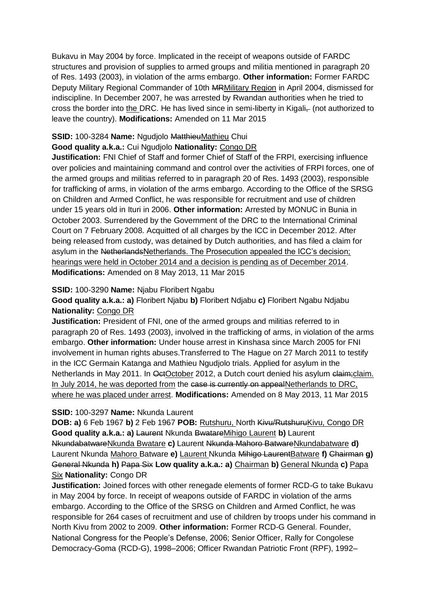Bukavu in May 2004 by force. Implicated in the receipt of weapons outside of FARDC structures and provision of supplies to armed groups and militia mentioned in paragraph 20 of Res. 1493 (2003), in violation of the arms embargo. **Other information:** Former FARDC Deputy Military Regional Commander of 10th MRMilitary Region in April 2004, dismissed for indiscipline. In December 2007, he was arrested by Rwandan authorities when he tried to cross the border into the DRC. He has lived since in semi-liberty in Kigali- (not authorized to leave the country). **Modifications:** Amended on 11 Mar 2015

### **SSID:** 100-3284 **Name:** Ngudjolo MatthieuMathieu Chui

# **Good quality a.k.a.:** Cui Ngudjolo **Nationality:** Congo DR

**Justification:** FNI Chief of Staff and former Chief of Staff of the FRPI, exercising influence over policies and maintaining command and control over the activities of FRPI forces, one of the armed groups and militias referred to in paragraph 20 of Res. 1493 (2003), responsible for trafficking of arms, in violation of the arms embargo. According to the Office of the SRSG on Children and Armed Conflict, he was responsible for recruitment and use of children under 15 years old in Ituri in 2006. **Other information:** Arrested by MONUC in Bunia in October 2003. Surrendered by the Government of the DRC to the International Criminal Court on 7 February 2008. Acquitted of all charges by the ICC in December 2012. After being released from custody, was detained by Dutch authorities, and has filed a claim for asylum in the NetherlandsNetherlands. The Prosecution appealed the ICC's decision; hearings were held in October 2014 and a decision is pending as of December 2014. **Modifications:** Amended on 8 May 2013, 11 Mar 2015

#### **SSID:** 100-3290 **Name:** Njabu Floribert Ngabu

**Good quality a.k.a.: a)** Floribert Njabu **b)** Floribert Ndjabu **c)** Floribert Ngabu Ndjabu **Nationality:** Congo DR

**Justification:** President of FNI, one of the armed groups and militias referred to in paragraph 20 of Res. 1493 (2003), involved in the trafficking of arms, in violation of the arms embargo. **Other information:** Under house arrest in Kinshasa since March 2005 for FNI involvement in human rights abuses.Transferred to The Hague on 27 March 2011 to testify in the ICC Germain Katanga and Mathieu Ngudjolo trials. Applied for asylum in the Netherlands in May 2011. In OctOctober 2012, a Dutch court denied his asylum claim; claim. In July 2014, he was deported from the ease is currently on appealNetherlands to DRC, where he was placed under arrest. **Modifications:** Amended on 8 May 2013, 11 Mar 2015

#### **SSID:** 100-3297 **Name:** Nkunda Laurent

**DOB: a)** 6 Feb 1967 **b)** 2 Feb 1967 **POB:** Rutshuru, North Kivu/RutshuruKivu, Congo DR **Good quality a.k.a.: a)** Laurent Nkunda BwatareMihigo Laurent **b)** Laurent NkundabatwareNkunda Bwatare **c)** Laurent Nkunda Mahoro BatwareNkundabatware **d)**  Laurent Nkunda Mahoro Batware **e)** Laurent Nkunda Mihigo LaurentBatware **f)** Chairman **g)**  General Nkunda **h)** Papa Six **Low quality a.k.a.: a)** Chairman **b)** General Nkunda **c)** Papa Six **Nationality:** Congo DR

**Justification:** Joined forces with other renegade elements of former RCD-G to take Bukavu in May 2004 by force. In receipt of weapons outside of FARDC in violation of the arms embargo. According to the Office of the SRSG on Children and Armed Conflict, he was responsible for 264 cases of recruitment and use of children by troops under his command in North Kivu from 2002 to 2009. **Other information:** Former RCD-G General. Founder, National Congress for the People's Defense, 2006; Senior Officer, Rally for Congolese Democracy-Goma (RCD-G), 1998–2006; Officer Rwandan Patriotic Front (RPF), 1992–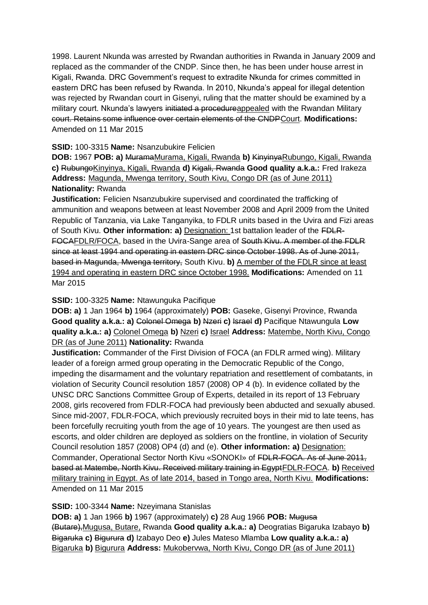1998. Laurent Nkunda was arrested by Rwandan authorities in Rwanda in January 2009 and replaced as the commander of the CNDP. Since then, he has been under house arrest in Kigali, Rwanda. DRC Government's request to extradite Nkunda for crimes committed in eastern DRC has been refused by Rwanda. In 2010, Nkunda's appeal for illegal detention was rejected by Rwandan court in Gisenyi, ruling that the matter should be examined by a military court. Nkunda's lawyers initiated a procedureappealed with the Rwandan Military court. Retains some influence over certain elements of the CNDPCourt. **Modifications:**  Amended on 11 Mar 2015

# **SSID:** 100-3315 **Name:** Nsanzubukire Felicien

**DOB:** 1967 **POB: a)** MuramaMurama, Kigali, Rwanda **b)** KinyinyaRubungo, Kigali, Rwanda **c)** RubungoKinyinya, Kigali, Rwanda **d)** Kigali, Rwanda **Good quality a.k.a.:** Fred Irakeza **Address:** Magunda, Mwenga territory, South Kivu, Congo DR (as of June 2011) **Nationality:** Rwanda

**Justification:** Felicien Nsanzubukire supervised and coordinated the trafficking of ammunition and weapons between at least November 2008 and April 2009 from the United Republic of Tanzania, via Lake Tanganyika, to FDLR units based in the Uvira and Fizi areas of South Kivu. **Other information: a)** Designation: 1st battalion leader of the FDLR-FOCAFDLR/FOCA, based in the Uvira-Sange area of South Kivu. A member of the FDLR since at least 1994 and operating in eastern DRC since October 1998. As of June 2011, based in Magunda, Mwenga territory, South Kivu. **b)** A member of the FDLR since at least 1994 and operating in eastern DRC since October 1998. **Modifications:** Amended on 11 Mar 2015

# **SSID:** 100-3325 **Name:** Ntawunguka Pacifique

**DOB: a)** 1 Jan 1964 **b)** 1964 (approximately) **POB:** Gaseke, Gisenyi Province, Rwanda **Good quality a.k.a.: a)** Colonel Omega **b)** Nzeri **c)** Israel **d)** Pacifique Ntawungula **Low quality a.k.a.: a)** Colonel Omega **b)** Nzeri **c)** Israel **Address:** Matembe, North Kivu, Congo DR (as of June 2011) **Nationality:** Rwanda

**Justification:** Commander of the First Division of FOCA (an FDLR armed wing). Military leader of a foreign armed group operating in the Democratic Republic of the Congo, impeding the disarmament and the voluntary repatriation and resettlement of combatants, in violation of Security Council resolution 1857 (2008) OP 4 (b). In evidence collated by the UNSC DRC Sanctions Committee Group of Experts, detailed in its report of 13 February 2008, girls recovered from FDLR-FOCA had previously been abducted and sexually abused. Since mid-2007, FDLR-FOCA, which previously recruited boys in their mid to late teens, has been forcefully recruiting youth from the age of 10 years. The youngest are then used as escorts, and older children are deployed as soldiers on the frontline, in violation of Security Council resolution 1857 (2008) OP4 (d) and (e). **Other information: a)** Designation: Commander, Operational Sector North Kivu «SONOKI» of FDLR-FOCA. As of June 2011, based at Matembe, North Kivu. Received military training in EgyptFDLR-FOCA. **b)** Received military training in Egypt. As of late 2014, based in Tongo area, North Kivu. **Modifications:**  Amended on 11 Mar 2015

### **SSID:** 100-3344 **Name:** Nzeyimana Stanislas

**DOB: a)** 1 Jan 1966 **b)** 1967 (approximately) **c)** 28 Aug 1966 **POB:** Mugusa (Butare),Mugusa, Butare, Rwanda **Good quality a.k.a.: a)** Deogratias Bigaruka Izabayo **b)**  Bigaruka **c)** Bigurura **d)** Izabayo Deo **e)** Jules Mateso Mlamba **Low quality a.k.a.: a)**  Bigaruka **b)** Bigurura **Address:** Mukobervwa, North Kivu, Congo DR (as of June 2011)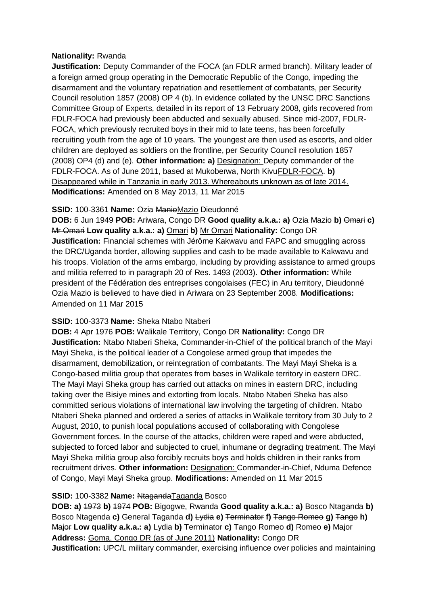# **Nationality:** Rwanda

**Justification:** Deputy Commander of the FOCA (an FDLR armed branch). Military leader of a foreign armed group operating in the Democratic Republic of the Congo, impeding the disarmament and the voluntary repatriation and resettlement of combatants, per Security Council resolution 1857 (2008) OP 4 (b). In evidence collated by the UNSC DRC Sanctions Committee Group of Experts, detailed in its report of 13 February 2008, girls recovered from FDLR-FOCA had previously been abducted and sexually abused. Since mid-2007, FDLR-FOCA, which previously recruited boys in their mid to late teens, has been forcefully recruiting youth from the age of 10 years. The youngest are then used as escorts, and older children are deployed as soldiers on the frontline, per Security Council resolution 1857 (2008) OP4 (d) and (e). **Other information: a)** Designation: Deputy commander of the FDLR-FOCA. As of June 2011, based at Mukoberwa, North KivuFDLR-FOCA. **b)**  Disappeared while in Tanzania in early 2013. Whereabouts unknown as of late 2014. **Modifications:** Amended on 8 May 2013, 11 Mar 2015

# **SSID:** 100-3361 **Name:** Ozia ManioMazio Dieudonné

**DOB:** 6 Jun 1949 **POB:** Ariwara, Congo DR **Good quality a.k.a.: a)** Ozia Mazio **b)** Omari **c)**  Mr Omari **Low quality a.k.a.: a)** Omari **b)** Mr Omari **Nationality:** Congo DR **Justification:** Financial schemes with Jérôme Kakwavu and FAPC and smuggling across the DRC/Uganda border, allowing supplies and cash to be made available to Kakwavu and his troops. Violation of the arms embargo, including by providing assistance to armed groups and militia referred to in paragraph 20 of Res. 1493 (2003). **Other information:** While president of the Fédération des entreprises congolaises (FEC) in Aru territory, Dieudonné Ozia Mazio is believed to have died in Ariwara on 23 September 2008. **Modifications:**  Amended on 11 Mar 2015

# **SSID:** 100-3373 **Name:** Sheka Ntabo Ntaberi

**DOB:** 4 Apr 1976 **POB:** Walikale Territory, Congo DR **Nationality:** Congo DR **Justification:** Ntabo Ntaberi Sheka, Commander-in-Chief of the political branch of the Mayi Mayi Sheka, is the political leader of a Congolese armed group that impedes the disarmament, demobilization, or reintegration of combatants. The Mayi Mayi Sheka is a Congo-based militia group that operates from bases in Walikale territory in eastern DRC. The Mayi Mayi Sheka group has carried out attacks on mines in eastern DRC, including taking over the Bisiye mines and extorting from locals. Ntabo Ntaberi Sheka has also committed serious violations of international law involving the targeting of children. Ntabo Ntaberi Sheka planned and ordered a series of attacks in Walikale territory from 30 July to 2 August, 2010, to punish local populations accused of collaborating with Congolese Government forces. In the course of the attacks, children were raped and were abducted, subjected to forced labor and subjected to cruel, inhumane or degrading treatment. The Mayi Mayi Sheka militia group also forcibly recruits boys and holds children in their ranks from recruitment drives. **Other information:** Designation: Commander-in-Chief, Nduma Defence of Congo, Mayi Mayi Sheka group. **Modifications:** Amended on 11 Mar 2015

# **SSID: 100-3382 Name: NtagandaTaganda Bosco**

**DOB: a)** 1973 **b)** 1974 **POB:** Bigogwe, Rwanda **Good quality a.k.a.: a)** Bosco Ntaganda **b)**  Bosco Ntagenda **c)** General Taganda **d)** Lydia **e)** Terminator **f)** Tango Romeo **g)** Tango **h)**  Major **Low quality a.k.a.: a)** Lydia **b)** Terminator **c)** Tango Romeo **d)** Romeo **e)** Major **Address:** Goma, Congo DR (as of June 2011) **Nationality:** Congo DR **Justification:** UPC/L military commander, exercising influence over policies and maintaining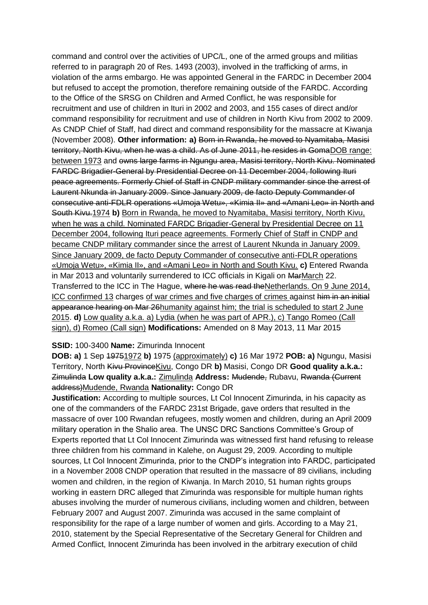command and control over the activities of UPC/L, one of the armed groups and militias referred to in paragraph 20 of Res. 1493 (2003), involved in the trafficking of arms, in violation of the arms embargo. He was appointed General in the FARDC in December 2004 but refused to accept the promotion, therefore remaining outside of the FARDC. According to the Office of the SRSG on Children and Armed Conflict, he was responsible for recruitment and use of children in Ituri in 2002 and 2003, and 155 cases of direct and/or command responsibility for recruitment and use of children in North Kivu from 2002 to 2009. As CNDP Chief of Staff, had direct and command responsibility for the massacre at Kiwanja (November 2008). **Other information: a)** Born in Rwanda, he moved to Nyamitaba, Masisi territory, North Kivu, when he was a child. As of June 2011, he resides in GomaDOB range: between 1973 and owns large farms in Ngungu area, Masisi territory, North Kivu. Nominated FARDC Brigadier-General by Presidential Decree on 11 December 2004, following Ituri peace agreements. Formerly Chief of Staff in CNDP military commander since the arrest of Laurent Nkunda in January 2009. Since January 2009, de facto Deputy Commander of consecutive anti-FDLR operations «Umoja Wetu», «Kimia II» and «Amani Leo» in North and South Kivu.1974 **b)** Born in Rwanda, he moved to Nyamitaba, Masisi territory, North Kivu, when he was a child. Nominated FARDC Brigadier-General by Presidential Decree on 11 December 2004, following Ituri peace agreements. Formerly Chief of Staff in CNDP and became CNDP military commander since the arrest of Laurent Nkunda in January 2009. Since January 2009, de facto Deputy Commander of consecutive anti-FDLR operations «Umoja Wetu», «Kimia II», and «Amani Leo» in North and South Kivu. **c)** Entered Rwanda in Mar 2013 and voluntarily surrendered to ICC officials in Kigali on MarMarch 22. Transferred to the ICC in The Hague, where he was read theNetherlands. On 9 June 2014, ICC confirmed 13 charges of war crimes and five charges of crimes against him in an initial appearance hearing on Mar 26 humanity against him; the trial is scheduled to start 2 June 2015. **d)** Low quality a.k.a. a) Lydia (when he was part of APR.), c) Tango Romeo (Call sign), d) Romeo (Call sign) **Modifications:** Amended on 8 May 2013, 11 Mar 2015

#### **SSID:** 100-3400 **Name:** Zimurinda Innocent

**DOB: a)** 1 Sep 19751972 **b)** 1975 (approximately) **c)** 16 Mar 1972 **POB: a)** Ngungu, Masisi Territory, North Kivu ProvinceKivu, Congo DR **b)** Masisi, Congo DR **Good quality a.k.a.:**  Zimulinda **Low quality a.k.a.:** Zimulinda **Address:** Mudende, Rubavu, Rwanda (Current address)Mudende, Rwanda **Nationality:** Congo DR

**Justification:** According to multiple sources, Lt Col Innocent Zimurinda, in his capacity as one of the commanders of the FARDC 231st Brigade, gave orders that resulted in the massacre of over 100 Rwandan refugees, mostly women and children, during an April 2009 military operation in the Shalio area. The UNSC DRC Sanctions Committee's Group of Experts reported that Lt Col Innocent Zimurinda was witnessed first hand refusing to release three children from his command in Kalehe, on August 29, 2009. According to multiple sources, Lt Col Innocent Zimurinda, prior to the CNDP's integration into FARDC, participated in a November 2008 CNDP operation that resulted in the massacre of 89 civilians, including women and children, in the region of Kiwanja. In March 2010, 51 human rights groups working in eastern DRC alleged that Zimurinda was responsible for multiple human rights abuses involving the murder of numerous civilians, including women and children, between February 2007 and August 2007. Zimurinda was accused in the same complaint of responsibility for the rape of a large number of women and girls. According to a May 21, 2010, statement by the Special Representative of the Secretary General for Children and Armed Conflict, Innocent Zimurinda has been involved in the arbitrary execution of child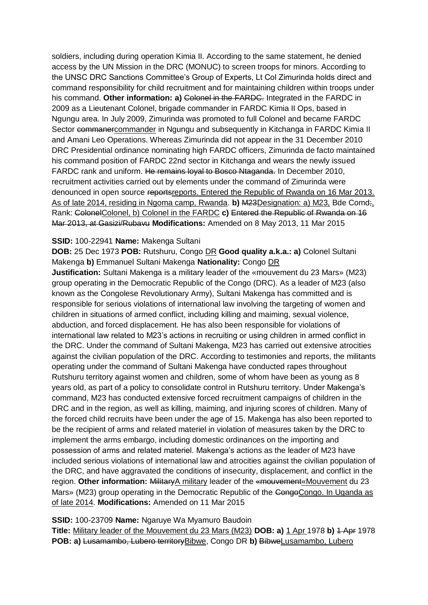soldiers, including during operation Kimia II. According to the same statement, he denied access by the UN Mission in the DRC (MONUC) to screen troops for minors. According to the UNSC DRC Sanctions Committee's Group of Experts, Lt Col Zimurinda holds direct and command responsibility for child recruitment and for maintaining children within troops under his command. **Other information: a)** Colonel in the FARDC. Integrated in the FARDC in 2009 as a Lieutenant Colonel, brigade commander in FARDC Kimia II Ops, based in Ngungu area. In July 2009, Zimurinda was promoted to full Colonel and became FARDC Sector commanercommander in Ngungu and subsequently in Kitchanga in FARDC Kimia II and Amani Leo Operations. Whereas Zimurinda did not appear in the 31 December 2010 DRC Presidential ordinance nominating high FARDC officers, Zimurinda de facto maintained his command position of FARDC 22nd sector in Kitchanga and wears the newly issued FARDC rank and uniform. He remains loyal to Bosco Ntaganda. In December 2010, recruitment activities carried out by elements under the command of Zimurinda were denounced in open source reportsreports. Entered the Republic of Rwanda on 16 Mar 2013. As of late 2014, residing in Ngoma camp, Rwanda. **b)** M23Designation: a) M23, Bde Comd;, Rank: ColonelColonel, b) Colonel in the FARDC **c)** Entered the Republic of Rwanda on 16 Mar 2013, at Gasizi/Rubavu **Modifications:** Amended on 8 May 2013, 11 Mar 2015

### **SSID:** 100-22941 **Name:** Makenga Sultani

**DOB:** 25 Dec 1973 **POB:** Rutshuru, Congo DR **Good quality a.k.a.: a)** Colonel Sultani Makenga **b)** Emmanuel Sultani Makenga **Nationality:** Congo DR

**Justification:** Sultani Makenga is a military leader of the «mouvement du 23 Mars» (M23) group operating in the Democratic Republic of the Congo (DRC). As a leader of M23 (also known as the Congolese Revolutionary Army), Sultani Makenga has committed and is responsible for serious violations of international law involving the targeting of women and children in situations of armed conflict, including killing and maiming, sexual violence, abduction, and forced displacement. He has also been responsible for violations of international law related to M23's actions in recruiting or using children in armed conflict in the DRC. Under the command of Sultani Makenga, M23 has carried out extensive atrocities against the civilian population of the DRC. According to testimonies and reports, the militants operating under the command of Sultani Makenga have conducted rapes throughout Rutshuru territory against women and children, some of whom have been as young as 8 years old, as part of a policy to consolidate control in Rutshuru territory. Under Makenga's command, M23 has conducted extensive forced recruitment campaigns of children in the DRC and in the region, as well as killing, maiming, and injuring scores of children. Many of the forced child recruits have been under the age of 15. Makenga has also been reported to be the recipient of arms and related materiel in violation of measures taken by the DRC to implement the arms embargo, including domestic ordinances on the importing and possession of arms and related materiel. Makenga's actions as the leader of M23 have included serious violations of international law and atrocities against the civilian population of the DRC, and have aggravated the conditions of insecurity, displacement, and conflict in the region. Other information: MilitaryA military leader of the «mouvement«Mouvement du 23 Mars» (M23) group operating in the Democratic Republic of the CongoCongo. In Uganda as of late 2014. **Modifications:** Amended on 11 Mar 2015

#### **SSID:** 100-23709 **Name:** Ngaruye Wa Myamuro Baudoin

**Title:** Military leader of the Mouvement du 23 Mars (M23) **DOB: a)** 1 Apr 1978 **b)** 1 Apr 1978 **POB: a)** Lusamambo, Lubero territoryBibwe, Congo DR **b)** BibweLusamambo, Lubero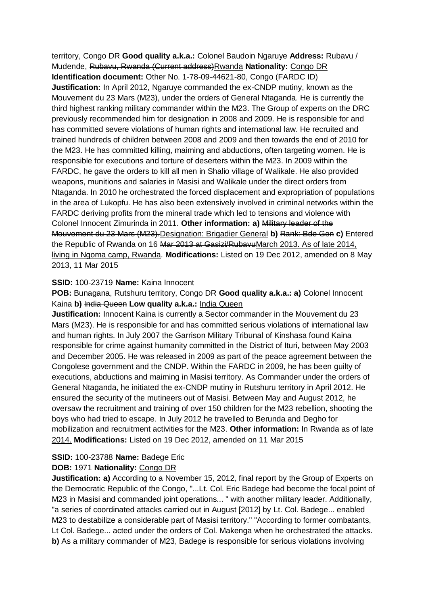territory, Congo DR **Good quality a.k.a.:** Colonel Baudoin Ngaruye **Address:** Rubavu / Mudende, Rubavu, Rwanda (Current address)Rwanda **Nationality:** Congo DR **Identification document:** Other No. 1-78-09-44621-80, Congo (FARDC ID) **Justification:** In April 2012, Ngaruye commanded the ex-CNDP mutiny, known as the Mouvement du 23 Mars (M23), under the orders of General Ntaganda. He is currently the third highest ranking military commander within the M23. The Group of experts on the DRC previously recommended him for designation in 2008 and 2009. He is responsible for and has committed severe violations of human rights and international law. He recruited and trained hundreds of children between 2008 and 2009 and then towards the end of 2010 for the M23. He has committed killing, maiming and abductions, often targeting women. He is responsible for executions and torture of deserters within the M23. In 2009 within the FARDC, he gave the orders to kill all men in Shalio village of Walikale. He also provided weapons, munitions and salaries in Masisi and Walikale under the direct orders from Ntaganda. In 2010 he orchestrated the forced displacement and expropriation of populations in the area of Lukopfu. He has also been extensively involved in criminal networks within the FARDC deriving profits from the mineral trade which led to tensions and violence with Colonel Innocent Zimurinda in 2011. **Other information: a)** Military leader of the Mouvement du 23 Mars (M23).Designation: Brigadier General **b)** Rank: Bde Gen **c)** Entered the Republic of Rwanda on 16 Mar 2013 at Gasizi/RubavuMarch 2013. As of late 2014, living in Ngoma camp, Rwanda. **Modifications:** Listed on 19 Dec 2012, amended on 8 May 2013, 11 Mar 2015

### **SSID:** 100-23719 **Name:** Kaina Innocent

**POB:** Bunagana, Rutshuru territory, Congo DR **Good quality a.k.a.: a)** Colonel Innocent Kaina **b)** India Queen **Low quality a.k.a.:** India Queen

**Justification:** Innocent Kaina is currently a Sector commander in the Mouvement du 23 Mars (M23). He is responsible for and has committed serious violations of international law and human rights. In July 2007 the Garrison Military Tribunal of Kinshasa found Kaina responsible for crime against humanity committed in the District of Ituri, between May 2003 and December 2005. He was released in 2009 as part of the peace agreement between the Congolese government and the CNDP. Within the FARDC in 2009, he has been guilty of executions, abductions and maiming in Masisi territory. As Commander under the orders of General Ntaganda, he initiated the ex-CNDP mutiny in Rutshuru territory in April 2012. He ensured the security of the mutineers out of Masisi. Between May and August 2012, he oversaw the recruitment and training of over 150 children for the M23 rebellion, shooting the boys who had tried to escape. In July 2012 he travelled to Berunda and Degho for mobilization and recruitment activities for the M23. **Other information:** In Rwanda as of late 2014. **Modifications:** Listed on 19 Dec 2012, amended on 11 Mar 2015

### **SSID:** 100-23788 **Name:** Badege Eric

### **DOB:** 1971 **Nationality:** Congo DR

**Justification: a)** According to a November 15, 2012, final report by the Group of Experts on the Democratic Republic of the Congo, "...Lt. Col. Eric Badege had become the focal point of M23 in Masisi and commanded joint operations... " with another military leader. Additionally, "a series of coordinated attacks carried out in August [2012] by Lt. Col. Badege... enabled M23 to destabilize a considerable part of Masisi territory." "According to former combatants, Lt Col. Badege... acted under the orders of Col. Makenga when he orchestrated the attacks. **b)** As a military commander of M23, Badege is responsible for serious violations involving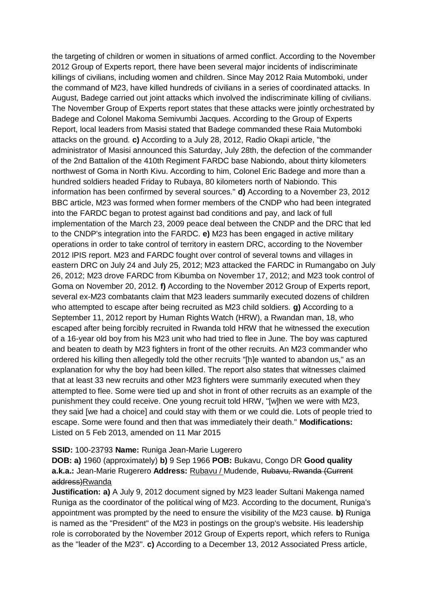the targeting of children or women in situations of armed conflict. According to the November 2012 Group of Experts report, there have been several major incidents of indiscriminate killings of civilians, including women and children. Since May 2012 Raia Mutomboki, under the command of M23, have killed hundreds of civilians in a series of coordinated attacks. In August, Badege carried out joint attacks which involved the indiscriminate killing of civilians. The November Group of Experts report states that these attacks were jointly orchestrated by Badege and Colonel Makoma Semivumbi Jacques. According to the Group of Experts Report, local leaders from Masisi stated that Badege commanded these Raia Mutomboki attacks on the ground. **c)** According to a July 28, 2012, Radio Okapi article, "the administrator of Masisi announced this Saturday, July 28th, the defection of the commander of the 2nd Battalion of the 410th Regiment FARDC base Nabiondo, about thirty kilometers northwest of Goma in North Kivu. According to him, Colonel Eric Badege and more than a hundred soldiers headed Friday to Rubaya, 80 kilometers north of Nabiondo. This information has been confirmed by several sources." **d)** According to a November 23, 2012 BBC article, M23 was formed when former members of the CNDP who had been integrated into the FARDC began to protest against bad conditions and pay, and lack of full implementation of the March 23, 2009 peace deal between the CNDP and the DRC that led to the CNDP's integration into the FARDC. **e)** M23 has been engaged in active military operations in order to take control of territory in eastern DRC, according to the November 2012 IPIS report. M23 and FARDC fought over control of several towns and villages in eastern DRC on July 24 and July 25, 2012; M23 attacked the FARDC in Rumangabo on July 26, 2012; M23 drove FARDC from Kibumba on November 17, 2012; and M23 took control of Goma on November 20, 2012. **f)** According to the November 2012 Group of Experts report, several ex-M23 combatants claim that M23 leaders summarily executed dozens of children who attempted to escape after being recruited as M23 child soldiers. **g)** According to a September 11, 2012 report by Human Rights Watch (HRW), a Rwandan man, 18, who escaped after being forcibly recruited in Rwanda told HRW that he witnessed the execution of a 16-year old boy from his M23 unit who had tried to flee in June. The boy was captured and beaten to death by M23 fighters in front of the other recruits. An M23 commander who ordered his killing then allegedly told the other recruits "[h]e wanted to abandon us," as an explanation for why the boy had been killed. The report also states that witnesses claimed that at least 33 new recruits and other M23 fighters were summarily executed when they attempted to flee. Some were tied up and shot in front of other recruits as an example of the punishment they could receive. One young recruit told HRW, "[w]hen we were with M23, they said [we had a choice] and could stay with them or we could die. Lots of people tried to escape. Some were found and then that was immediately their death." **Modifications:**  Listed on 5 Feb 2013, amended on 11 Mar 2015

#### **SSID:** 100-23793 **Name:** Runiga Jean-Marie Lugerero

**DOB: a)** 1960 (approximately) **b)** 9 Sep 1966 **POB:** Bukavu, Congo DR **Good quality a.k.a.:** Jean-Marie Rugerero **Address:** Rubavu / Mudende, Rubavu, Rwanda (Current address)Rwanda

**Justification: a)** A July 9, 2012 document signed by M23 leader Sultani Makenga named Runiga as the coordinator of the political wing of M23. According to the document, Runiga's appointment was prompted by the need to ensure the visibility of the M23 cause. **b)** Runiga is named as the "President" of the M23 in postings on the group's website. His leadership role is corroborated by the November 2012 Group of Experts report, which refers to Runiga as the "leader of the M23". **c)** According to a December 13, 2012 Associated Press article,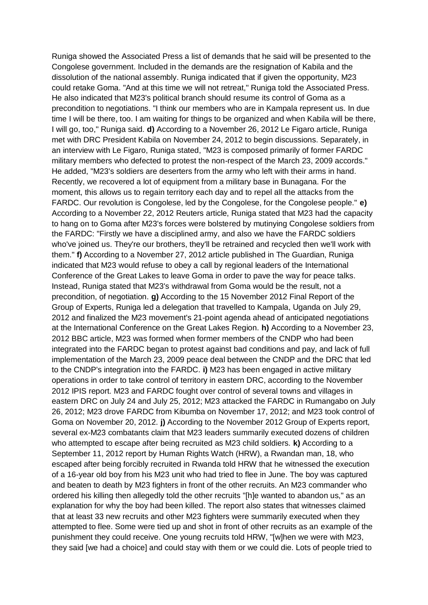Runiga showed the Associated Press a list of demands that he said will be presented to the Congolese government. Included in the demands are the resignation of Kabila and the dissolution of the national assembly. Runiga indicated that if given the opportunity, M23 could retake Goma. "And at this time we will not retreat," Runiga told the Associated Press. He also indicated that M23's political branch should resume its control of Goma as a precondition to negotiations. "I think our members who are in Kampala represent us. In due time I will be there, too. I am waiting for things to be organized and when Kabila will be there, I will go, too," Runiga said. **d)** According to a November 26, 2012 Le Figaro article, Runiga met with DRC President Kabila on November 24, 2012 to begin discussions. Separately, in an interview with Le Figaro, Runiga stated, "M23 is composed primarily of former FARDC military members who defected to protest the non-respect of the March 23, 2009 accords." He added, "M23's soldiers are deserters from the army who left with their arms in hand. Recently, we recovered a lot of equipment from a military base in Bunagana. For the moment, this allows us to regain territory each day and to repel all the attacks from the FARDC. Our revolution is Congolese, led by the Congolese, for the Congolese people." **e)**  According to a November 22, 2012 Reuters article, Runiga stated that M23 had the capacity to hang on to Goma after M23's forces were bolstered by mutinying Congolese soldiers from the FARDC: "Firstly we have a disciplined army, and also we have the FARDC soldiers who've joined us. They're our brothers, they'll be retrained and recycled then we'll work with them." **f)** According to a November 27, 2012 article published in The Guardian, Runiga indicated that M23 would refuse to obey a call by regional leaders of the International Conference of the Great Lakes to leave Goma in order to pave the way for peace talks. Instead, Runiga stated that M23's withdrawal from Goma would be the result, not a precondition, of negotiation. **g)** According to the 15 November 2012 Final Report of the Group of Experts, Runiga led a delegation that travelled to Kampala, Uganda on July 29, 2012 and finalized the M23 movement's 21-point agenda ahead of anticipated negotiations at the International Conference on the Great Lakes Region. **h)** According to a November 23, 2012 BBC article, M23 was formed when former members of the CNDP who had been integrated into the FARDC began to protest against bad conditions and pay, and lack of full implementation of the March 23, 2009 peace deal between the CNDP and the DRC that led to the CNDP's integration into the FARDC. **i)** M23 has been engaged in active military operations in order to take control of territory in eastern DRC, according to the November 2012 IPIS report. M23 and FARDC fought over control of several towns and villages in eastern DRC on July 24 and July 25, 2012; M23 attacked the FARDC in Rumangabo on July 26, 2012; M23 drove FARDC from Kibumba on November 17, 2012; and M23 took control of Goma on November 20, 2012. **j)** According to the November 2012 Group of Experts report, several ex-M23 combatants claim that M23 leaders summarily executed dozens of children who attempted to escape after being recruited as M23 child soldiers. **k)** According to a September 11, 2012 report by Human Rights Watch (HRW), a Rwandan man, 18, who escaped after being forcibly recruited in Rwanda told HRW that he witnessed the execution of a 16-year old boy from his M23 unit who had tried to flee in June. The boy was captured and beaten to death by M23 fighters in front of the other recruits. An M23 commander who ordered his killing then allegedly told the other recruits "[h]e wanted to abandon us," as an explanation for why the boy had been killed. The report also states that witnesses claimed that at least 33 new recruits and other M23 fighters were summarily executed when they attempted to flee. Some were tied up and shot in front of other recruits as an example of the punishment they could receive. One young recruits told HRW, "[w]hen we were with M23, they said [we had a choice] and could stay with them or we could die. Lots of people tried to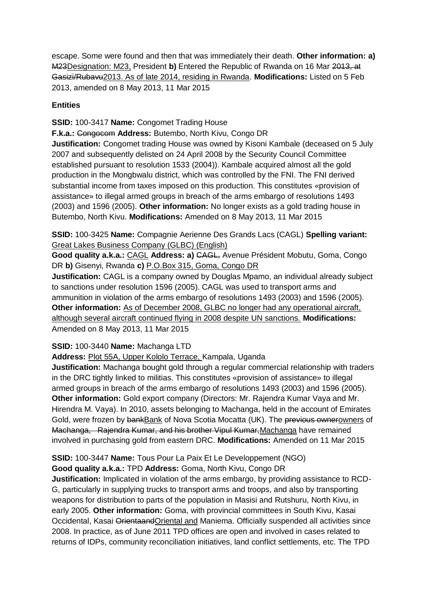escape. Some were found and then that was immediately their death. **Other information: a)**  M23Designation: M23, President **b)** Entered the Republic of Rwanda on 16 Mar 2013, at Gasizi/Rubavu2013. As of late 2014, residing in Rwanda. **Modifications:** Listed on 5 Feb 2013, amended on 8 May 2013, 11 Mar 2015

# **Entities**

**SSID:** 100-3417 **Name:** Congomet Trading House

**F.k.a.:** Congocom **Address:** Butembo, North Kivu, Congo DR

**Justification:** Congomet trading House was owned by Kisoni Kambale (deceased on 5 July 2007 and subsequently delisted on 24 April 2008 by the Security Council Committee established pursuant to resolution 1533 (2004)). Kambale acquired almost all the gold production in the Mongbwalu district, which was controlled by the FNI. The FNI derived substantial income from taxes imposed on this production. This constitutes «provision of assistance» to illegal armed groups in breach of the arms embargo of resolutions 1493 (2003) and 1596 (2005). **Other information:** No longer exists as a gold trading house in Butembo, North Kivu. **Modifications:** Amended on 8 May 2013, 11 Mar 2015

**SSID:** 100-3425 **Name:** Compagnie Aerienne Des Grands Lacs (CAGL) **Spelling variant:**  Great Lakes Business Company (GLBC) (English)

**Good quality a.k.a.: CAGL Address: a) CAGL, Avenue Président Mobutu, Goma, Congo** DR **b)** Gisenyi, Rwanda **c)** P.O.Box 315, Goma, Congo DR

**Justification:** CAGL is a company owned by Douglas Mpamo, an individual already subject to sanctions under resolution 1596 (2005). CAGL was used to transport arms and ammunition in violation of the arms embargo of resolutions 1493 (2003) and 1596 (2005). **Other information:** As of December 2008, GLBC no longer had any operational aircraft, although several aircraft continued flying in 2008 despite UN sanctions. **Modifications:**  Amended on 8 May 2013, 11 Mar 2015

### **SSID:** 100-3440 **Name:** Machanga LTD

**Address:** Plot 55A, Upper Kololo Terrace, Kampala, Uganda

**Justification:** Machanga bought gold through a regular commercial relationship with traders in the DRC tightly linked to militias. This constitutes «provision of assistance» to illegal armed groups in breach of the arms embargo of resolutions 1493 (2003) and 1596 (2005). **Other information:** Gold export company (Directors: Mr. Rajendra Kumar Vaya and Mr. Hirendra M. Vaya). In 2010, assets belonging to Machanga, held in the account of Emirates Gold, were frozen by bankBank of Nova Scotia Mocatta (UK). The previous ownerowners of Machanga, Rajendra Kumar, and his brother Vipul Kumar,Machanga have remained involved in purchasing gold from eastern DRC. **Modifications:** Amended on 11 Mar 2015

**SSID:** 100-3447 **Name:** Tous Pour La Paix Et Le Developpement (NGO)

**Good quality a.k.a.:** TPD **Address:** Goma, North Kivu, Congo DR

**Justification:** Implicated in violation of the arms embargo, by providing assistance to RCD-G, particularly in supplying trucks to transport arms and troops, and also by transporting weapons for distribution to parts of the population in Masisi and Rutshuru, North Kivu, in early 2005. **Other information:** Goma, with provincial committees in South Kivu, Kasai Occidental, Kasai OrientaandOriental and Maniema. Officially suspended all activities since 2008. In practice, as of June 2011 TPD offices are open and involved in cases related to returns of IDPs, community reconciliation initiatives, land conflict settlements, etc. The TPD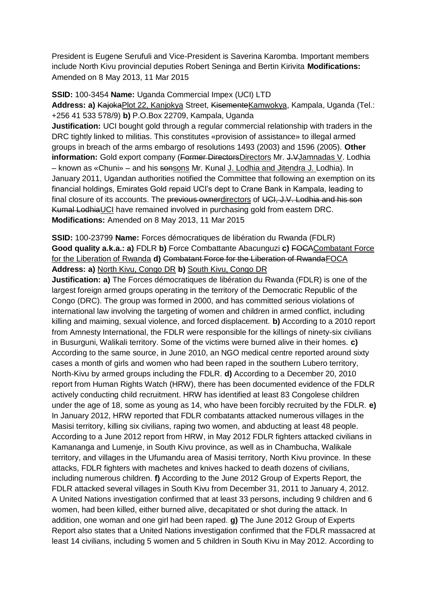President is Eugene Serufuli and Vice-President is Saverina Karomba. Important members include North Kivu provincial deputies Robert Seninga and Bertin Kirivita **Modifications:**  Amended on 8 May 2013, 11 Mar 2015

**SSID:** 100-3454 **Name:** Uganda Commercial Impex (UCI) LTD

**Address: a)** KajokaPlot 22, Kanjokya Street, KisementeKamwokya, Kampala, Uganda (Tel.: +256 41 533 578/9) **b)** P.O.Box 22709, Kampala, Uganda

**Justification:** UCI bought gold through a regular commercial relationship with traders in the DRC tightly linked to militias. This constitutes «provision of assistance» to illegal armed groups in breach of the arms embargo of resolutions 1493 (2003) and 1596 (2005). **Other information:** Gold export company (Former DirectorsDirectors Mr. J. VJamnadas V. Lodhia – known as «Chuni» – and his sonsons Mr. Kunal J. Lodhia and Jitendra J. Lodhia). In January 2011, Ugandan authorities notified the Committee that following an exemption on its financial holdings, Emirates Gold repaid UCI's dept to Crane Bank in Kampala, leading to final closure of its accounts. The previous ownerdirectors of UCI, J.V. Lodhia and his son Kumal LodhiaUCI have remained involved in purchasing gold from eastern DRC. **Modifications:** Amended on 8 May 2013, 11 Mar 2015

**SSID:** 100-23799 **Name:** Forces démocratiques de libération du Rwanda (FDLR) **Good quality a.k.a.: a)** FDLR **b)** Force Combattante Abacunguzi **c)** FOCACombatant Force for the Liberation of Rwanda **d)** Combatant Force for the Liberation of RwandaFOCA **Address: a)** North Kivu, Congo DR **b)** South Kivu, Congo DR

**Justification: a)** The Forces démocratiques de libération du Rwanda (FDLR) is one of the largest foreign armed groups operating in the territory of the Democratic Republic of the Congo (DRC). The group was formed in 2000, and has committed serious violations of international law involving the targeting of women and children in armed conflict, including killing and maiming, sexual violence, and forced displacement. **b)** According to a 2010 report from Amnesty International, the FDLR were responsible for the killings of ninety-six civilians in Busurguni, Walikali territory. Some of the victims were burned alive in their homes. **c)**  According to the same source, in June 2010, an NGO medical centre reported around sixty cases a month of girls and women who had been raped in the southern Lubero territory, North-Kivu by armed groups including the FDLR. **d)** According to a December 20, 2010 report from Human Rights Watch (HRW), there has been documented evidence of the FDLR actively conducting child recruitment. HRW has identified at least 83 Congolese children under the age of 18, some as young as 14, who have been forcibly recruited by the FDLR. **e)**  In January 2012, HRW reported that FDLR combatants attacked numerous villages in the Masisi territory, killing six civilians, raping two women, and abducting at least 48 people. According to a June 2012 report from HRW, in May 2012 FDLR fighters attacked civilians in Kamananga and Lumenje, in South Kivu province, as well as in Chambucha, Walikale territory, and villages in the Ufumandu area of Masisi territory, North Kivu province. In these attacks, FDLR fighters with machetes and knives hacked to death dozens of civilians, including numerous children. **f)** According to the June 2012 Group of Experts Report, the FDLR attacked several villages in South Kivu from December 31, 2011 to January 4, 2012. A United Nations investigation confirmed that at least 33 persons, including 9 children and 6 women, had been killed, either burned alive, decapitated or shot during the attack. In addition, one woman and one girl had been raped. **g)** The June 2012 Group of Experts Report also states that a United Nations investigation confirmed that the FDLR massacred at least 14 civilians, including 5 women and 5 children in South Kivu in May 2012. According to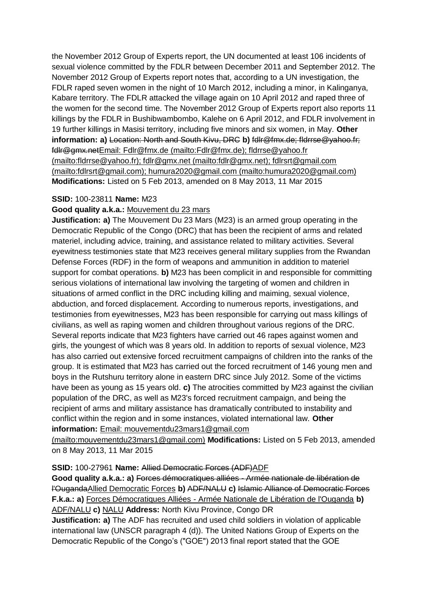the November 2012 Group of Experts report, the UN documented at least 106 incidents of sexual violence committed by the FDLR between December 2011 and September 2012. The November 2012 Group of Experts report notes that, according to a UN investigation, the FDLR raped seven women in the night of 10 March 2012, including a minor, in Kalinganya, Kabare territory. The FDLR attacked the village again on 10 April 2012 and raped three of the women for the second time. The November 2012 Group of Experts report also reports 11 killings by the FDLR in Bushibwambombo, Kalehe on 6 April 2012, and FDLR involvement in 19 further killings in Masisi territory, including five minors and six women, in May. **Other information: a)** Location: North and South Kivu, DRC **b)** fdlr@fmx.de; fldrrse@yahoo.fr; fdlr@gmx.netEmail: Fdlr@fmx.de (mailto:Fdlr@fmx.de); fldrrse@yahoo.fr (mailto:fldrrse@yahoo.fr); fdlr@gmx.net (mailto:fdlr@gmx.net); fdlrsrt@gmail.com (mailto:fdlrsrt@gmail.com); humura2020@gmail.com (mailto:humura2020@gmail.com) **Modifications:** Listed on 5 Feb 2013, amended on 8 May 2013, 11 Mar 2015

### **SSID:** 100-23811 **Name:** M23

# **Good quality a.k.a.:** Mouvement du 23 mars

**Justification: a)** The Mouvement Du 23 Mars (M23) is an armed group operating in the Democratic Republic of the Congo (DRC) that has been the recipient of arms and related materiel, including advice, training, and assistance related to military activities. Several eyewitness testimonies state that M23 receives general military supplies from the Rwandan Defense Forces (RDF) in the form of weapons and ammunition in addition to materiel support for combat operations. **b)** M23 has been complicit in and responsible for committing serious violations of international law involving the targeting of women and children in situations of armed conflict in the DRC including killing and maiming, sexual violence, abduction, and forced displacement. According to numerous reports, investigations, and testimonies from eyewitnesses, M23 has been responsible for carrying out mass killings of civilians, as well as raping women and children throughout various regions of the DRC. Several reports indicate that M23 fighters have carried out 46 rapes against women and girls, the youngest of which was 8 years old. In addition to reports of sexual violence, M23 has also carried out extensive forced recruitment campaigns of children into the ranks of the group. It is estimated that M23 has carried out the forced recruitment of 146 young men and boys in the Rutshuru territory alone in eastern DRC since July 2012. Some of the victims have been as young as 15 years old. **c)** The atrocities committed by M23 against the civilian population of the DRC, as well as M23's forced recruitment campaign, and being the recipient of arms and military assistance has dramatically contributed to instability and conflict within the region and in some instances, violated international law. **Other information:** Email: mouvementdu23mars1@gmail.com

(mailto:mouvementdu23mars1@gmail.com) **Modifications:** Listed on 5 Feb 2013, amended on 8 May 2013, 11 Mar 2015

#### **SSID:** 100-27961 **Name:** Allied Democratic Forces (ADF)ADF

**Good quality a.k.a.: a)** Forces démocratiques alliées - Armée nationale de libération de l'OugandaAllied Democratic Forces **b)** ADF/NALU **c)** Islamic Alliance of Democratic Forces **F.k.a.: a)** Forces Démocratiques Alliées - Armée Nationale de Libération de l'Ouganda **b)**  ADF/NALU **c)** NALU **Address:** North Kivu Province, Congo DR

**Justification: a)** The ADF has recruited and used child soldiers in violation of applicable international law (UNSCR paragraph 4 (d)). The United Nations Group of Experts on the Democratic Republic of the Congo's ("GOE") 2013 final report stated that the GOE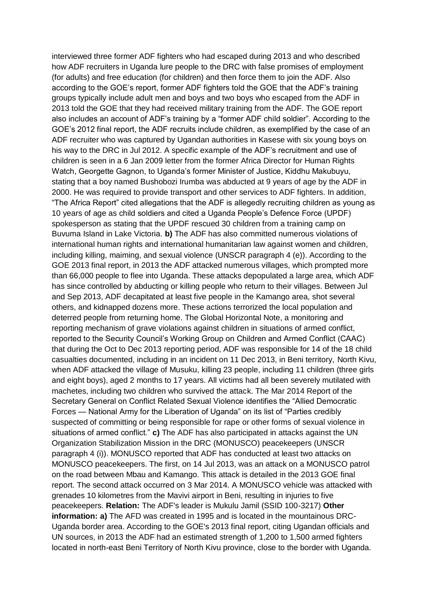interviewed three former ADF fighters who had escaped during 2013 and who described how ADF recruiters in Uganda lure people to the DRC with false promises of employment (for adults) and free education (for children) and then force them to join the ADF. Also according to the GOE's report, former ADF fighters told the GOE that the ADF's training groups typically include adult men and boys and two boys who escaped from the ADF in 2013 told the GOE that they had received military training from the ADF. The GOE report also includes an account of ADF's training by a "former ADF child soldier". According to the GOE's 2012 final report, the ADF recruits include children, as exemplified by the case of an ADF recruiter who was captured by Ugandan authorities in Kasese with six young boys on his way to the DRC in Jul 2012. A specific example of the ADF's recruitment and use of children is seen in a 6 Jan 2009 letter from the former Africa Director for Human Rights Watch, Georgette Gagnon, to Uganda's former Minister of Justice, Kiddhu Makubuyu, stating that a boy named Bushobozi Irumba was abducted at 9 years of age by the ADF in 2000. He was required to provide transport and other services to ADF fighters. In addition, "The Africa Report" cited allegations that the ADF is allegedly recruiting children as young as 10 years of age as child soldiers and cited a Uganda People's Defence Force (UPDF) spokesperson as stating that the UPDF rescued 30 children from a training camp on Buvuma Island in Lake Victoria. **b)** The ADF has also committed numerous violations of international human rights and international humanitarian law against women and children, including killing, maiming, and sexual violence (UNSCR paragraph 4 (e)). According to the GOE 2013 final report, in 2013 the ADF attacked numerous villages, which prompted more than 66,000 people to flee into Uganda. These attacks depopulated a large area, which ADF has since controlled by abducting or killing people who return to their villages. Between Jul and Sep 2013, ADF decapitated at least five people in the Kamango area, shot several others, and kidnapped dozens more. These actions terrorized the local population and deterred people from returning home. The Global Horizontal Note, a monitoring and reporting mechanism of grave violations against children in situations of armed conflict, reported to the Security Council's Working Group on Children and Armed Conflict (CAAC) that during the Oct to Dec 2013 reporting period, ADF was responsible for 14 of the 18 child casualties documented, including in an incident on 11 Dec 2013, in Beni territory, North Kivu, when ADF attacked the village of Musuku, killing 23 people, including 11 children (three girls and eight boys), aged 2 months to 17 years. All victims had all been severely mutilated with machetes, including two children who survived the attack. The Mar 2014 Report of the Secretary General on Conflict Related Sexual Violence identifies the "Allied Democratic Forces — National Army for the Liberation of Uganda" on its list of "Parties credibly suspected of committing or being responsible for rape or other forms of sexual violence in situations of armed conflict." **c)** The ADF has also participated in attacks against the UN Organization Stabilization Mission in the DRC (MONUSCO) peacekeepers (UNSCR paragraph 4 (i)). MONUSCO reported that ADF has conducted at least two attacks on MONUSCO peacekeepers. The first, on 14 Jul 2013, was an attack on a MONUSCO patrol on the road between Mbau and Kamango. This attack is detailed in the 2013 GOE final report. The second attack occurred on 3 Mar 2014. A MONUSCO vehicle was attacked with grenades 10 kilometres from the Mavivi airport in Beni, resulting in injuries to five peacekeepers. **Relation:** The ADF's leader is Mukulu Jamil (SSID 100-3217) **Other information: a)** The AFD was created in 1995 and is located in the mountainous DRC-Uganda border area. According to the GOE's 2013 final report, citing Ugandan officials and UN sources, in 2013 the ADF had an estimated strength of 1,200 to 1,500 armed fighters located in north-east Beni Territory of North Kivu province, close to the border with Uganda.